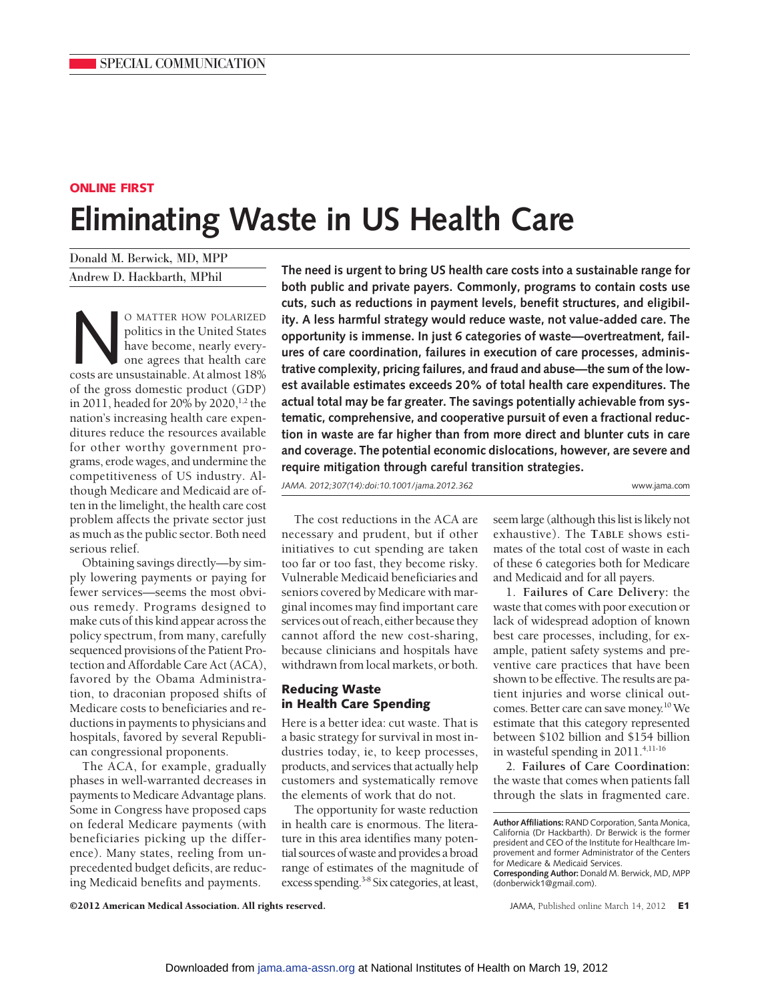# **ONLINE FIRST Eliminating Waste in US Health Care**

Donald M. Berwick, MD, MPP Andrew D. Hackbarth, MPhil

O MATTER HOW POLARIZED politics in the United States have become, nearly every-<br>one agrees that health care costs are unsustainable. At almost 18% politics in the United States have become, nearly everyone agrees that health care of the gross domestic product (GDP) in 2011, headed for 20% by 2020,<sup>1,2</sup> the nation's increasing health care expenditures reduce the resources available for other worthy government programs, erode wages, and undermine the competitiveness of US industry. Although Medicare and Medicaid are often in the limelight, the health care cost problem affects the private sector just as much as the public sector. Both need serious relief.

Obtaining savings directly—by simply lowering payments or paying for fewer services—seems the most obvious remedy. Programs designed to make cuts of this kind appear across the policy spectrum, from many, carefully sequenced provisions of the Patient Protection and Affordable Care Act (ACA), favored by the Obama Administration, to draconian proposed shifts of Medicare costs to beneficiaries and reductions in payments to physicians and hospitals, favored by several Republican congressional proponents.

The ACA, for example, gradually phases in well-warranted decreases in payments to Medicare Advantage plans. Some in Congress have proposed caps on federal Medicare payments (with beneficiaries picking up the difference). Many states, reeling from unprecedented budget deficits, are reducing Medicaid benefits and payments.

**The need is urgent to bring US health care costs into a sustainable range for both public and private payers. Commonly, programs to contain costs use cuts, such as reductions in payment levels, benefit structures, and eligibility. A less harmful strategy would reduce waste, not value-added care. The opportunity is immense. In just 6 categories of waste—overtreatment, failures of care coordination, failures in execution of care processes, administrative complexity, pricing failures, and fraud and abuse—the sum of the lowest available estimates exceeds 20% of total health care expenditures. The actual total may be far greater. The savings potentially achievable from systematic, comprehensive, and cooperative pursuit of even a fractional reduction in waste are far higher than from more direct and blunter cuts in care and coverage. The potential economic dislocations, however, are severe and require mitigation through careful transition strategies.**

*JAMA. 2012;307(14):doi:10.1001/jama.2012.362* www.jama.com

The cost reductions in the ACA are necessary and prudent, but if other initiatives to cut spending are taken too far or too fast, they become risky. Vulnerable Medicaid beneficiaries and seniors covered by Medicare with marginal incomes may find important care services out of reach, either because they cannot afford the new cost-sharing, because clinicians and hospitals have withdrawn from local markets, or both.

## **Reducing Waste in Health Care Spending**

Here is a better idea: cut waste. That is a basic strategy for survival in most industries today, ie, to keep processes, products, and services that actually help customers and systematically remove the elements of work that do not.

The opportunity for waste reduction in health care is enormous. The literature in this area identifies many potential sources of waste and provides a broad range of estimates of the magnitude of excess spending.<sup>3-8</sup> Six categories, at least, seem large (although this list is likely not exhaustive). The **TABLE** shows estimates of the total cost of waste in each of these 6 categories both for Medicare and Medicaid and for all payers.

1. **Failures of Care Delivery:** the waste that comes with poor execution or lack of widespread adoption of known best care processes, including, for example, patient safety systems and preventive care practices that have been shown to be effective. The results are patient injuries and worse clinical outcomes. Better care can save money.<sup>10</sup> We estimate that this category represented between \$102 billion and \$154 billion in wasteful spending in  $2011.^{4,11-16}$ 

2. **Failures of Care Coordination:** the waste that comes when patients fall through the slats in fragmented care.

©2012 American Medical Association. All rights reserved. JAMA, Published online March 14, 2012 **E1**

**Author Affiliations:** RAND Corporation, Santa Monica, California (Dr Hackbarth). Dr Berwick is the former president and CEO of the Institute for Healthcare Improvement and former Administrator of the Centers for Medicare & Medicaid Services.

**Corresponding Author:** Donald M. Berwick, MD, MPP (donberwick1@gmail.com).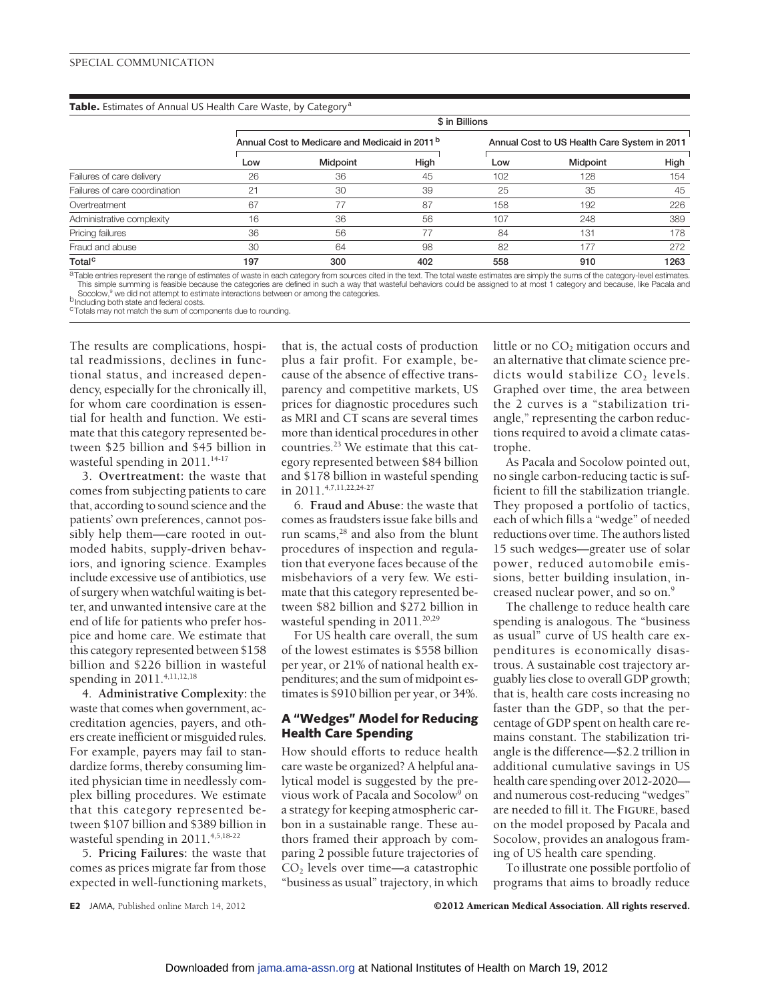## Table. Estimates of Annual US Health Care Waste, by Category<sup>a</sup>

|                               | \$ in Billions                                            |                 |      |                                              |          |      |
|-------------------------------|-----------------------------------------------------------|-----------------|------|----------------------------------------------|----------|------|
|                               | Annual Cost to Medicare and Medicaid in 2011 <sup>b</sup> |                 |      | Annual Cost to US Health Care System in 2011 |          |      |
|                               | Low                                                       | <b>Midpoint</b> | High | Low                                          | Midpoint | High |
| Failures of care delivery     | 26                                                        | 36              | 45   | 102                                          | 128      | 154  |
| Failures of care coordination | 21                                                        | 30              | 39   | 25                                           | 35       | 45   |
| Overtreatment                 | 67                                                        | 77              | 87   | 158                                          | 192      | 226  |
| Administrative complexity     | 16                                                        | 36              | 56   | 107                                          | 248      | 389  |
| Pricing failures              | 36                                                        | 56              |      | 84                                           | 131      | 178  |
| Fraud and abuse               | 30                                                        | 64              | 98   | 82                                           | 177      | 272  |
| Total <sup>c</sup>            | 197                                                       | 300             | 402  | 558                                          | 910      | 1263 |

a Table entries represent the range of estimates of waste in each category from sources cited in the text. The total waste estimates are simply the sums of the category-level estimates.<br>This simple summing is feasible beca Socolow,<sup>9</sup> we did not attempt to estimate interactions between or among the categories.<br><sup>b</sup>Including both state and federal costs.<br><sup>c</sup>Totals may not match the sum of components due to rounding.

The results are complications, hospital readmissions, declines in functional status, and increased dependency, especially for the chronically ill, for whom care coordination is essential for health and function. We estimate that this category represented between \$25 billion and \$45 billion in wasteful spending in  $2011$ .<sup>14-17</sup>

3. **Overtreatment:** the waste that comes from subjecting patients to care that, according to sound science and the patients' own preferences, cannot possibly help them—care rooted in outmoded habits, supply-driven behaviors, and ignoring science. Examples include excessive use of antibiotics, use of surgery when watchful waiting is better, and unwanted intensive care at the end of life for patients who prefer hospice and home care. We estimate that this category represented between \$158 billion and \$226 billion in wasteful spending in 2011.<sup>4,11,12,18</sup>

4. **Administrative Complexity:** the waste that comes when government, accreditation agencies, payers, and others create inefficient or misguided rules. For example, payers may fail to standardize forms, thereby consuming limited physician time in needlessly complex billing procedures. We estimate that this category represented between \$107 billion and \$389 billion in wasteful spending in 2011.<sup>4,5,18-22</sup>

5. **Pricing Failures:** the waste that comes as prices migrate far from those expected in well-functioning markets, that is, the actual costs of production plus a fair profit. For example, because of the absence of effective transparency and competitive markets, US prices for diagnostic procedures such as MRI and CT scans are several times more than identical procedures in other countries.23 We estimate that this category represented between \$84 billion and \$178 billion in wasteful spending in 2011.4,7,11,22,24-27

6. **Fraud and Abuse:** the waste that comes as fraudsters issue fake bills and run scams,<sup>28</sup> and also from the blunt procedures of inspection and regulation that everyone faces because of the misbehaviors of a very few. We estimate that this category represented between \$82 billion and \$272 billion in wasteful spending in 2011.<sup>20,29</sup>

For US health care overall, the sum of the lowest estimates is \$558 billion per year, or 21% of national health expenditures; and the sum of midpoint estimates is \$910 billion per year, or 34%.

# **A "Wedges" Model for Reducing Health Care Spending**

How should efforts to reduce health care waste be organized? A helpful analytical model is suggested by the previous work of Pacala and Socolow<sup>9</sup> on a strategy for keeping atmospheric carbon in a sustainable range. These authors framed their approach by comparing 2 possible future trajectories of CO2 levels over time—a catastrophic "business as usual" trajectory, in which little or no  $CO<sub>2</sub>$  mitigation occurs and an alternative that climate science predicts would stabilize  $CO<sub>2</sub>$  levels. Graphed over time, the area between the 2 curves is a "stabilization triangle," representing the carbon reductions required to avoid a climate catastrophe.

As Pacala and Socolow pointed out, no single carbon-reducing tactic is sufficient to fill the stabilization triangle. They proposed a portfolio of tactics, each of which fills a "wedge" of needed reductions over time. The authors listed 15 such wedges—greater use of solar power, reduced automobile emissions, better building insulation, increased nuclear power, and so on.9

The challenge to reduce health care spending is analogous. The "business as usual" curve of US health care expenditures is economically disastrous. A sustainable cost trajectory arguably lies close to overall GDP growth; that is, health care costs increasing no faster than the GDP, so that the percentage of GDP spent on health care remains constant. The stabilization triangle is the difference—\$2.2 trillion in additional cumulative savings in US health care spending over 2012-2020 and numerous cost-reducing "wedges" are needed to fill it. The **FIGURE**, based on the model proposed by Pacala and Socolow, provides an analogous framing of US health care spending.

To illustrate one possible portfolio of programs that aims to broadly reduce

**E2** JAMA, Published online March 14, 2012 **COM COMPLEM COMPLEM COMPLEM COMPLEM COMPLEM COMPLEM COMPLEM COMPLEM COMPLEM COMPLEM COMPLEM COMPLEM COMPLEM COMPLEM COMPLEM COMPLEM COMPLEM CO**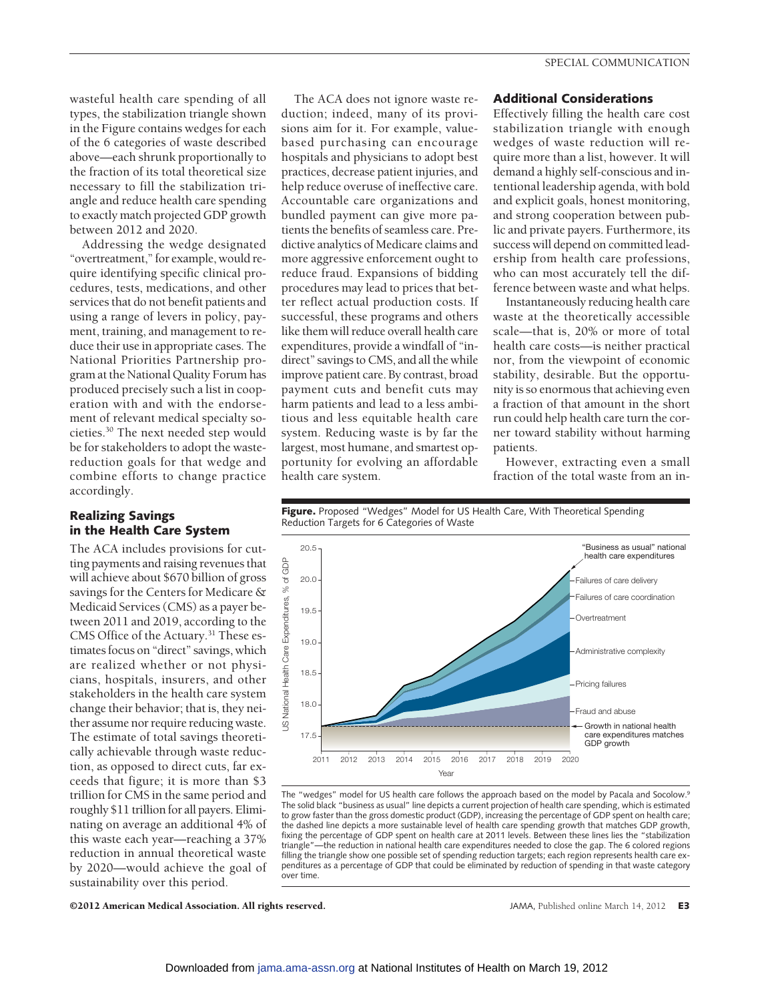wasteful health care spending of all types, the stabilization triangle shown in the Figure contains wedges for each of the 6 categories of waste described above—each shrunk proportionally to the fraction of its total theoretical size necessary to fill the stabilization triangle and reduce health care spending to exactly match projected GDP growth between 2012 and 2020.

Addressing the wedge designated "overtreatment," for example, would require identifying specific clinical procedures, tests, medications, and other services that do not benefit patients and using a range of levers in policy, payment, training, and management to reduce their use in appropriate cases. The National Priorities Partnership program at the National Quality Forum has produced precisely such a list in cooperation with and with the endorsement of relevant medical specialty societies.30 The next needed step would be for stakeholders to adopt the wastereduction goals for that wedge and combine efforts to change practice accordingly.

## **Realizing Savings in the Health Care System**

The ACA includes provisions for cutting payments and raising revenues that will achieve about \$670 billion of gross savings for the Centers for Medicare & Medicaid Services (CMS) as a payer between 2011 and 2019, according to the CMS Office of the Actuary.31 These estimates focus on "direct" savings, which are realized whether or not physicians, hospitals, insurers, and other stakeholders in the health care system change their behavior; that is, they neither assume nor require reducing waste. The estimate of total savings theoretically achievable through waste reduction, as opposed to direct cuts, far exceeds that figure; it is more than \$3 trillion for CMS in the same period and roughly \$11 trillion for all payers. Eliminating on average an additional 4% of this waste each year—reaching a 37% reduction in annual theoretical waste by 2020—would achieve the goal of sustainability over this period.

The ACA does not ignore waste reduction; indeed, many of its provisions aim for it. For example, valuebased purchasing can encourage hospitals and physicians to adopt best practices, decrease patient injuries, and help reduce overuse of ineffective care. Accountable care organizations and bundled payment can give more patients the benefits of seamless care. Predictive analytics of Medicare claims and more aggressive enforcement ought to reduce fraud. Expansions of bidding procedures may lead to prices that better reflect actual production costs. If successful, these programs and others like them will reduce overall health care expenditures, provide a windfall of "indirect" savings to CMS, and all the while improve patient care. By contrast, broad payment cuts and benefit cuts may harm patients and lead to a less ambitious and less equitable health care system. Reducing waste is by far the largest, most humane, and smartest opportunity for evolving an affordable health care system.

# **Additional Considerations**

Effectively filling the health care cost stabilization triangle with enough wedges of waste reduction will require more than a list, however. It will demand a highly self-conscious and intentional leadership agenda, with bold and explicit goals, honest monitoring, and strong cooperation between public and private payers. Furthermore, its success will depend on committed leadership from health care professions, who can most accurately tell the difference between waste and what helps.

Instantaneously reducing health care waste at the theoretically accessible scale—that is, 20% or more of total health care costs—is neither practical nor, from the viewpoint of economic stability, desirable. But the opportunity is so enormous that achieving even a fraction of that amount in the short run could help health care turn the corner toward stability without harming patients.

However, extracting even a small fraction of the total waste from an in-





The "wedges" model for US health care follows the approach based on the model by Pacala and Socolow.<sup>9</sup> The solid black "business as usual" line depicts a current projection of health care spending, which is estimated to grow faster than the gross domestic product (GDP), increasing the percentage of GDP spent on health care; the dashed line depicts a more sustainable level of health care spending growth that matches GDP growth, fixing the percentage of GDP spent on health care at 2011 levels. Between these lines lies the "stabilization triangle"—the reduction in national health care expenditures needed to close the gap. The 6 colored regions filling the triangle show one possible set of spending reduction targets; each region represents health care expenditures as a percentage of GDP that could be eliminated by reduction of spending in that waste category over time.

©2012 American Medical Association. All rights reserved. JAMA, Published online March 14, 2012 **E3**